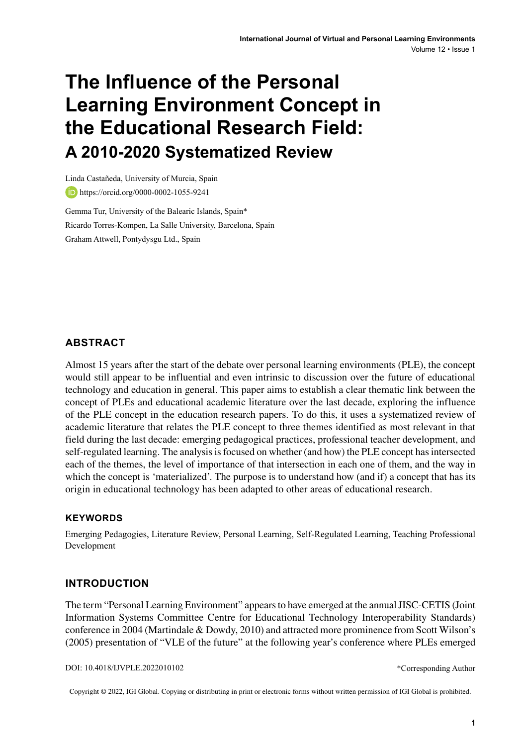# **The Influence of the Personal Learning Environment Concept in the Educational Research Field: A 2010-2020 Systematized Review**

Linda Castañeda, University of Murcia, Spain **b** https://orcid.org/0000-0002-1055-9241

Gemma Tur, University of the Balearic Islands, Spain\* Ricardo Torres-Kompen, La Salle University, Barcelona, Spain Graham Attwell, Pontydysgu Ltd., Spain

## **ABSTRACT**

Almost 15 years after the start of the debate over personal learning environments (PLE), the concept would still appear to be influential and even intrinsic to discussion over the future of educational technology and education in general. This paper aims to establish a clear thematic link between the concept of PLEs and educational academic literature over the last decade, exploring the influence of the PLE concept in the education research papers. To do this, it uses a systematized review of academic literature that relates the PLE concept to three themes identified as most relevant in that field during the last decade: emerging pedagogical practices, professional teacher development, and self-regulated learning. The analysis is focused on whether (and how) the PLE concept has intersected each of the themes, the level of importance of that intersection in each one of them, and the way in which the concept is 'materialized'. The purpose is to understand how (and if) a concept that has its origin in educational technology has been adapted to other areas of educational research.

#### **Keywords**

Emerging Pedagogies, Literature Review, Personal Learning, Self-Regulated Learning, Teaching Professional Development

### **INTRODUCTION**

The term "Personal Learning Environment" appearsto have emerged at the annualJISC-CETIS (Joint Information Systems Committee Centre for Educational Technology Interoperability Standards) conference in 2004 (Martindale & Dowdy, 2010) and attracted more prominence from Scott Wilson's (2005) presentation of "VLE of the future" at the following year's conference where PLEs emerged

DOI: 10.4018/IJVPLE.2022010102

\*Corresponding Author

Copyright © 2022, IGI Global. Copying or distributing in print or electronic forms without written permission of IGI Global is prohibited.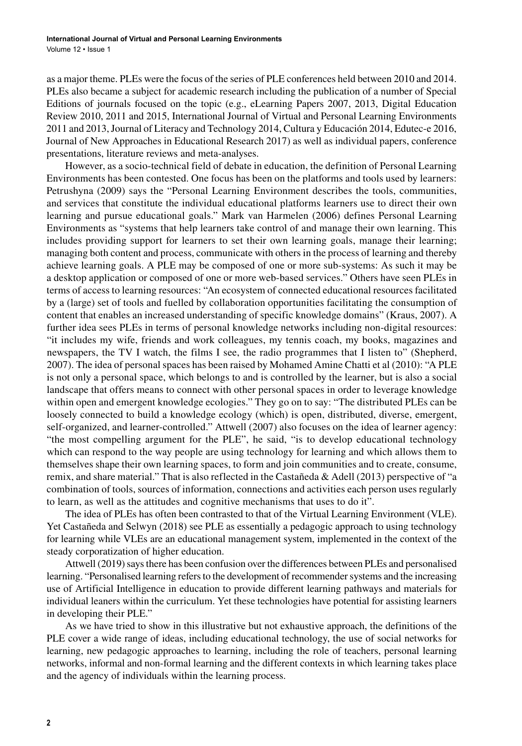as a major theme. PLEs were the focus of the series of PLE conferences held between 2010 and 2014. PLEs also became a subject for academic research including the publication of a number of Special Editions of journals focused on the topic (e.g., eLearning Papers 2007, 2013, Digital Education Review 2010, 2011 and 2015, International Journal of Virtual and Personal Learning Environments 2011 and 2013,Journal of Literacy and Technology 2014, Cultura y Educación 2014, Edutec-e 2016, Journal of New Approaches in Educational Research 2017) as well as individual papers, conference presentations, literature reviews and meta-analyses.

However, as a socio-technical field of debate in education, the definition of Personal Learning Environments has been contested. One focus has been on the platforms and tools used by learners: Petrushyna (2009) says the "Personal Learning Environment describes the tools, communities, and services that constitute the individual educational platforms learners use to direct their own learning and pursue educational goals." Mark van Harmelen (2006) defines Personal Learning Environments as "systems that help learners take control of and manage their own learning. This includes providing support for learners to set their own learning goals, manage their learning; managing both content and process, communicate with others in the process of learning and thereby achieve learning goals. A PLE may be composed of one or more sub-systems: As such it may be a desktop application or composed of one or more web-based services." Others have seen PLEs in terms of access to learning resources: "An ecosystem of connected educational resources facilitated by a (large) set of tools and fuelled by collaboration opportunities facilitating the consumption of content that enables an increased understanding of specific knowledge domains" (Kraus, 2007). A further idea sees PLEs in terms of personal knowledge networks including non-digital resources: "it includes my wife, friends and work colleagues, my tennis coach, my books, magazines and newspapers, the TV I watch, the films I see, the radio programmes that I listen to" (Shepherd, 2007). The idea of personal spaces has been raised by Mohamed Amine Chatti et al (2010): "A PLE is not only a personal space, which belongs to and is controlled by the learner, but is also a social landscape that offers means to connect with other personal spaces in order to leverage knowledge within open and emergent knowledge ecologies." They go on to say: "The distributed PLEs can be loosely connected to build a knowledge ecology (which) is open, distributed, diverse, emergent, self-organized, and learner-controlled." Attwell (2007) also focuses on the idea of learner agency: "the most compelling argument for the PLE", he said, "is to develop educational technology which can respond to the way people are using technology for learning and which allows them to themselves shape their own learning spaces, to form and join communities and to create, consume, remix, and share material." That is also reflected in the Castañeda & Adell (2013) perspective of "a combination of tools, sources of information, connections and activities each person uses regularly to learn, as well as the attitudes and cognitive mechanisms that uses to do it".

The idea of PLEs has often been contrasted to that of the Virtual Learning Environment (VLE). Yet Castañeda and Selwyn (2018) see PLE as essentially a pedagogic approach to using technology for learning while VLEs are an educational management system, implemented in the context of the steady corporatization of higher education.

Attwell (2019) says there has been confusion over the differences between PLEs and personalised learning. "Personalised learning refers to the development of recommender systems and the increasing use of Artificial Intelligence in education to provide different learning pathways and materials for individual leaners within the curriculum. Yet these technologies have potential for assisting learners in developing their PLE."

As we have tried to show in this illustrative but not exhaustive approach, the definitions of the PLE cover a wide range of ideas, including educational technology, the use of social networks for learning, new pedagogic approaches to learning, including the role of teachers, personal learning networks, informal and non-formal learning and the different contexts in which learning takes place and the agency of individuals within the learning process.